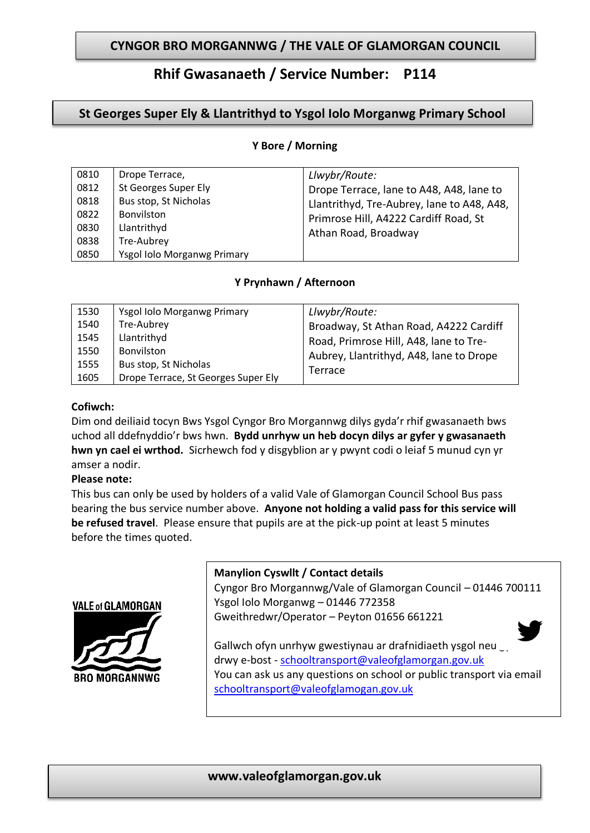## **CYNGOR BRO MORGANNWG / THE VALE OF GLAMORGAN COUNCIL**

# **Rhif Gwasanaeth / Service Number: P114**

## **St Georges Super Ely & Llantrithyd to Ysgol Iolo Morganwg Primary School**

#### **Y Bore / Morning**

| 0810 | Drope Terrace,              | Llwybr/Route:                                                                                                                                           |
|------|-----------------------------|---------------------------------------------------------------------------------------------------------------------------------------------------------|
| 0812 | St Georges Super Ely        | Drope Terrace, lane to A48, A48, lane to<br>Llantrithyd, Tre-Aubrey, lane to A48, A48,<br>Primrose Hill, A4222 Cardiff Road, St<br>Athan Road, Broadway |
| 0818 | Bus stop, St Nicholas       |                                                                                                                                                         |
| 0822 | Bonvilston                  |                                                                                                                                                         |
| 0830 | Llantrithyd                 |                                                                                                                                                         |
| 0838 | Tre-Aubrey                  |                                                                                                                                                         |
| 0850 | Ysgol Iolo Morganwg Primary |                                                                                                                                                         |

## **Y Prynhawn / Afternoon**

| 1530 | Ysgol Iolo Morganwg Primary         | Llwybr/Route:                           |
|------|-------------------------------------|-----------------------------------------|
| 1540 | Tre-Aubrey                          | Broadway, St Athan Road, A4222 Cardiff  |
| 1545 | Llantrithyd                         | Road, Primrose Hill, A48, lane to Tre-  |
| 1550 | Bonvilston                          | Aubrey, Llantrithyd, A48, lane to Drope |
| 1555 | Bus stop, St Nicholas               | Terrace                                 |
| 1605 | Drope Terrace, St Georges Super Ely |                                         |

#### **Cofiwch:**

Dim ond deiliaid tocyn Bws Ysgol Cyngor Bro Morgannwg dilys gyda'r rhif gwasanaeth bws uchod all ddefnyddio'r bws hwn. **Bydd unrhyw un heb docyn dilys ar gyfer y gwasanaeth hwn yn cael ei wrthod.** Sicrhewch fod y disgyblion ar y pwynt codi o leiaf 5 munud cyn yr amser a nodir.

#### **Please note:**

This bus can only be used by holders of a valid Vale of Glamorgan Council School Bus pass bearing the bus service number above. **Anyone not holding a valid pass for this service will be refused travel**. Please ensure that pupils are at the pick-up point at least 5 minutes before the times quoted.



### **Manylion Cyswllt / Contact details**

Cyngor Bro Morgannwg/Vale of Glamorgan Council – 01446 700111 Ysgol Iolo Morganwg – 01446 772358 Gweithredwr/Operator – Peyton 01656 661221



Gallwch ofyn unrhyw gwestiynau ar drafnidiaeth ysgol neu drwy e-bost - [schooltransport@valeofglamorgan.gov.uk](mailto:schooltransport@valeofglamorgan.gov.uk)  You can ask us any questions on school or public transport via email schooltransport@valeofglamogan.gov.uk

## **www.valeofglamorgan.gov.uk**